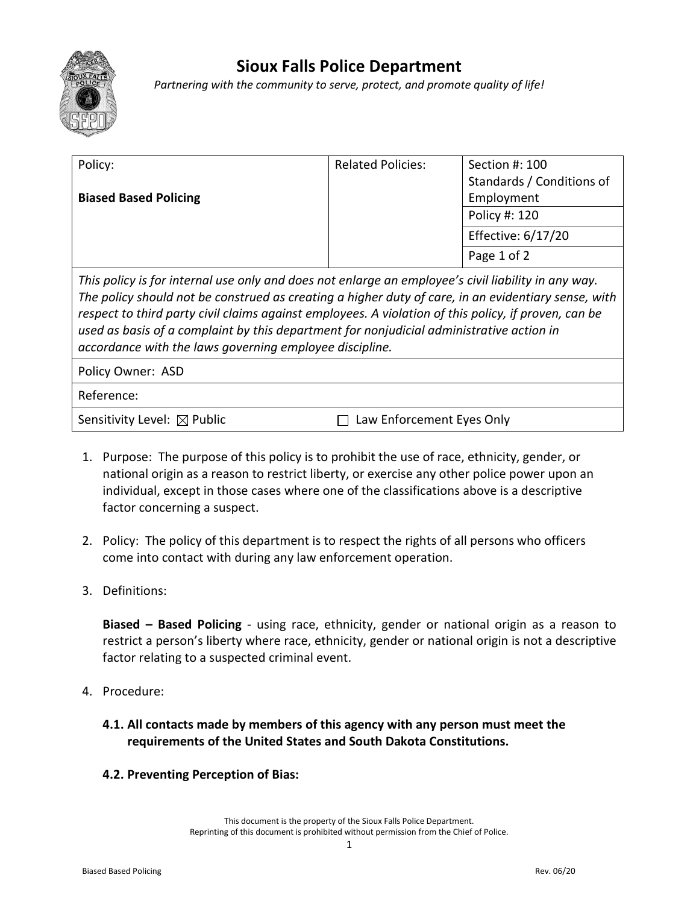

## **Sioux Falls Police Department**

*Partnering with the community to serve, protect, and promote quality of life!*

| Policy:                                                                                                                                                                                                                                                                                                                                                                                                                                                                   | <b>Related Policies:</b>  | Section #: 100            |
|---------------------------------------------------------------------------------------------------------------------------------------------------------------------------------------------------------------------------------------------------------------------------------------------------------------------------------------------------------------------------------------------------------------------------------------------------------------------------|---------------------------|---------------------------|
|                                                                                                                                                                                                                                                                                                                                                                                                                                                                           |                           | Standards / Conditions of |
| <b>Biased Based Policing</b>                                                                                                                                                                                                                                                                                                                                                                                                                                              |                           | Employment                |
|                                                                                                                                                                                                                                                                                                                                                                                                                                                                           |                           | Policy #: 120             |
|                                                                                                                                                                                                                                                                                                                                                                                                                                                                           |                           | Effective: 6/17/20        |
|                                                                                                                                                                                                                                                                                                                                                                                                                                                                           |                           | Page 1 of 2               |
| This policy is for internal use only and does not enlarge an employee's civil liability in any way.<br>The policy should not be construed as creating a higher duty of care, in an evidentiary sense, with<br>respect to third party civil claims against employees. A violation of this policy, if proven, can be<br>used as basis of a complaint by this department for nonjudicial administrative action in<br>accordance with the laws governing employee discipline. |                           |                           |
| Policy Owner: ASD                                                                                                                                                                                                                                                                                                                                                                                                                                                         |                           |                           |
| Reference:                                                                                                                                                                                                                                                                                                                                                                                                                                                                |                           |                           |
| Sensitivity Level: $\boxtimes$ Public                                                                                                                                                                                                                                                                                                                                                                                                                                     | Law Enforcement Eyes Only |                           |

- 1. Purpose: The purpose of this policy is to prohibit the use of race, ethnicity, gender, or national origin as a reason to restrict liberty, or exercise any other police power upon an individual, except in those cases where one of the classifications above is a descriptive factor concerning a suspect.
- 2. Policy: The policy of this department is to respect the rights of all persons who officers come into contact with during any law enforcement operation.
- 3. Definitions:

**Biased – Based Policing** - using race, ethnicity, gender or national origin as a reason to restrict a person's liberty where race, ethnicity, gender or national origin is not a descriptive factor relating to a suspected criminal event.

- 4. Procedure:
	- **4.1. All contacts made by members of this agency with any person must meet the requirements of the United States and South Dakota Constitutions.**
	- **4.2. Preventing Perception of Bias:**

This document is the property of the Sioux Falls Police Department. Reprinting of this document is prohibited without permission from the Chief of Police.